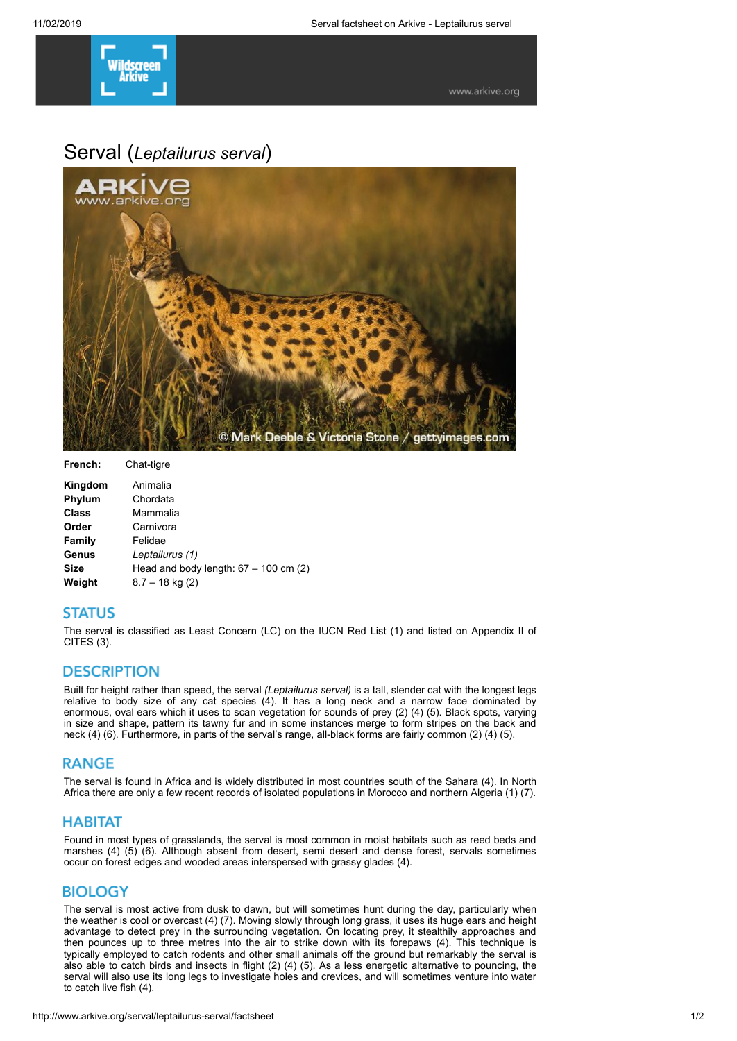

# Serval (*Leptailurus serval*)



| French:      | Chat-tigre                              |
|--------------|-----------------------------------------|
| Kingdom      | Animalia                                |
| Phylum       | Chordata                                |
| <b>Class</b> | Mammalia                                |
| Order        | Carnivora                               |
| Family       | Felidae                                 |
| Genus        | Leptailurus (1)                         |
| <b>Size</b>  | Head and body length: $67 - 100$ cm (2) |
| Weight       | $8.7 - 18$ kg (2)                       |

#### **STATUS**

The serval is classified as Least Concern (LC) on the IUCN Red List (1) and listed on Appendix II of CITES (3).

#### **DESCRIPTION**

Built for height rather than speed, the serval *(Leptailurus serval)* is a tall, slender cat with the longest legs relative to body size of any cat species (4). It has a long neck and a narrow face dominated by enormous, oval ears which it uses to scan vegetation for sounds of prey (2) (4) (5). Black spots, varying in size and shape, pattern its tawny fur and in some instances merge to form stripes on the back and neck (4) (6). Furthermore, in parts of the serval's range, all-black forms are fairly common (2) (4) (5).

#### **RANGE**

The serval is found in Africa and is widely distributed in most countries south of the Sahara (4). In North Africa there are only a few recent records of isolated populations in Morocco and northern Algeria (1) (7).

#### **HABITAT**

Found in most types of grasslands, the serval is most common in moist habitats such as reed beds and marshes (4) (5) (6). Although absent from desert, semi desert and dense forest, servals sometimes occur on forest edges and wooded areas interspersed with grassy glades (4).

#### **BIOLOGY**

The serval is most active from dusk to dawn, but will sometimes hunt during the day, particularly when the weather is cool or overcast (4) (7). Moving slowly through long grass, it uses its huge ears and height advantage to detect prey in the surrounding vegetation. On locating prey, it stealthily approaches and then pounces up to three metres into the air to strike down with its forepaws (4). This technique is typically employed to catch rodents and other small animals off the ground but remarkably the serval is also able to catch birds and insects in flight (2) (4) (5). As a less energetic alternative to pouncing, the serval will also use its long legs to investigate holes and crevices, and will sometimes venture into water to catch live fish (4).